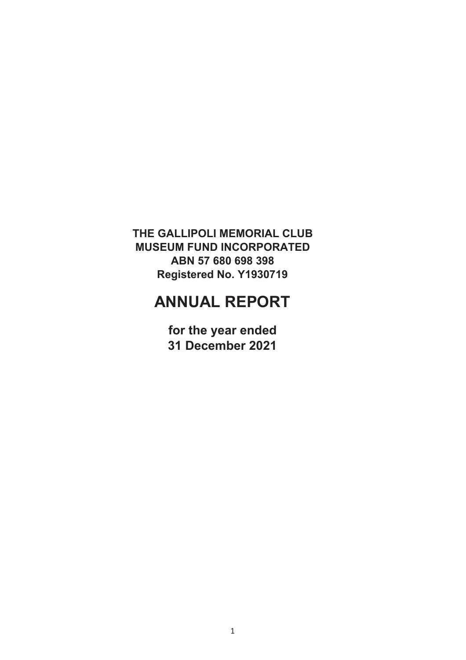# **ANNUAL REPORT**

**for the year ended 31 December 2021**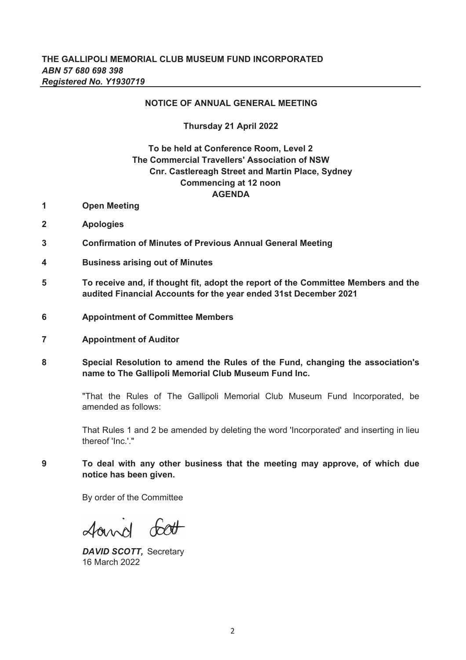### **NOTICE OF ANNUAL GENERAL MEETING**

### **Thursday 21 April 2022**

# **Cnr. Castlereagh Street and Martin Place, Sydney AGENDA To be held at Conference Room, Level 2 Commencing at 12 noon The Commercial Travellers' Association of NSW**

- **1 Open Meeting**
- **2 Apologies**
- **3 Confirmation of Minutes of Previous Annual General Meeting**
- **4 Business arising out of Minutes**
- **5 To receive and, if thought fit, adopt the report of the Committee Members and the audited Financial Accounts for the year ended 31st December 2021**
- **6 Appointment of Committee Members**
- **7 Appointment of Auditor**
- **8 Special Resolution to amend the Rules of the Fund, changing the association's name to The Gallipoli Memorial Club Museum Fund Inc.**

"That the Rules of The Gallipoli Memorial Club Museum Fund Incorporated, be amended as follows:

That Rules 1 and 2 be amended by deleting the word 'Incorporated' and inserting in lieu thereof 'Inc.'."

**9 To deal with any other business that the meeting may approve, of which due notice has been given.**

By order of the Committee

found foot

*DAVID SCOTT,* Secretary 16 March 2022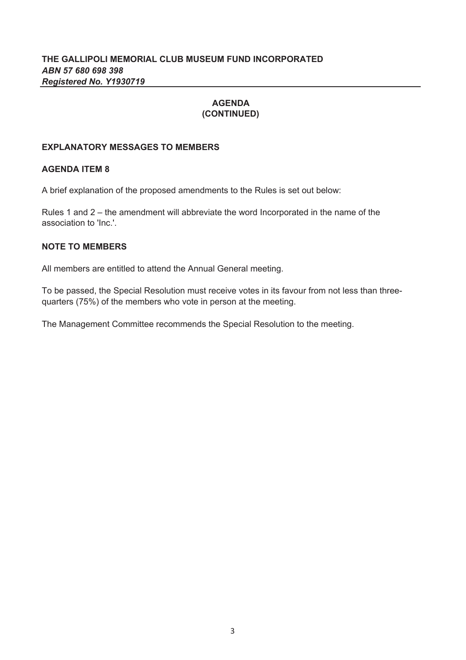# **AGENDA (CONTINUED)**

# **EXPLANATORY MESSAGES TO MEMBERS**

# **AGENDA ITEM 8**

A brief explanation of the proposed amendments to the Rules is set out below:

Rules 1 and 2 – the amendment will abbreviate the word Incorporated in the name of the association to 'Inc.'.

# **NOTE TO MEMBERS**

All members are entitled to attend the Annual General meeting.

To be passed, the Special Resolution must receive votes in its favour from not less than threequarters (75%) of the members who vote in person at the meeting.

The Management Committee recommends the Special Resolution to the meeting.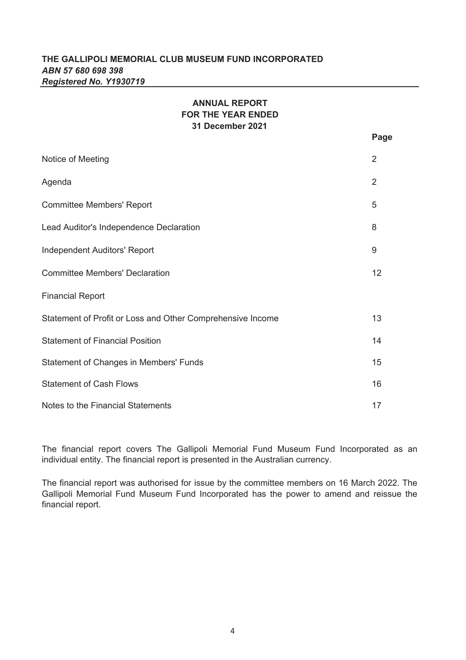# **ANNUAL REPORT FOR THE YEAR ENDED 31 December 2021**

**Page**

| Notice of Meeting                                          | 2  |
|------------------------------------------------------------|----|
| Agenda                                                     | 2  |
| <b>Committee Members' Report</b>                           | 5  |
| Lead Auditor's Independence Declaration                    | 8  |
| <b>Independent Auditors' Report</b>                        | 9  |
| <b>Committee Members' Declaration</b>                      | 12 |
| <b>Financial Report</b>                                    |    |
| Statement of Profit or Loss and Other Comprehensive Income | 13 |
| <b>Statement of Financial Position</b>                     | 14 |
| <b>Statement of Changes in Members' Funds</b>              | 15 |
| <b>Statement of Cash Flows</b>                             | 16 |
| Notes to the Financial Statements                          | 17 |

The financial report covers The Gallipoli Memorial Fund Museum Fund Incorporated as an individual entity. The financial report is presented in the Australian currency.

The financial report was authorised for issue by the committee members on 16 March 2022. The Gallipoli Memorial Fund Museum Fund Incorporated has the power to amend and reissue the financial report.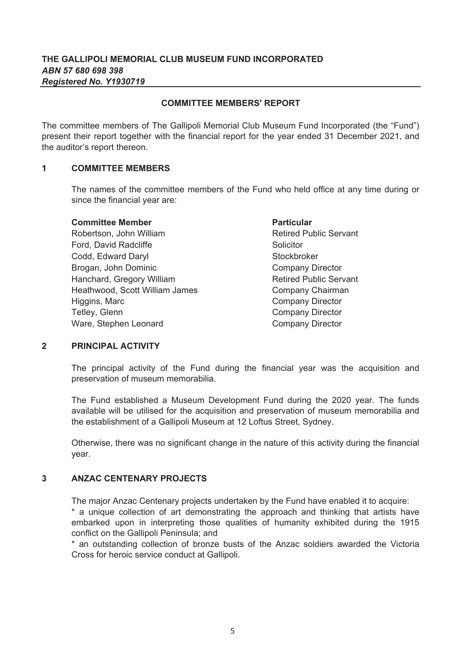### **COMMITTEE MEMBERS' REPORT**

The committee members of The Gallipoli Memorial Club Museum Fund Incorporated (the "Fund") present their report together with the financial report for the year ended 31 December 2021, and the auditor's report thereon.

#### **1 COMMITTEE MEMBERS**

The names of the committee members of the Fund who held office at any time during or since the financial year are:

### **Committee Member**

Codd, Edward Daryl Brogan, John Dominic Ford, David Radcliffe Robertson, John William **Retired Public Servant** Hanchard, Gregory William **Retired Public Servant** Higgins, Marc **Company Director** Ware, Stephen Leonard **Company Director** Company Director Heathwood, Scott William James Tetley, Glenn

Stockbroker Company Director **Particular Solicitor** Company Chairman Company Director

### **2 PRINCIPAL ACTIVITY**

The principal activity of the Fund during the financial year was the acquisition and preservation of museum memorabilia.

The Fund established a Museum Development Fund during the 2020 year. The funds available will be utilised for the acquisition and preservation of museum memorabilia and the establishment of a Gallipoli Museum at 12 Loftus Street, Sydney.

Otherwise, there was no significant change in the nature of this activity during the financial year.

#### **3 ANZAC CENTENARY PROJECTS**

The major Anzac Centenary projects undertaken by the Fund have enabled it to acquire:

\* a unique collection of art demonstrating the approach and thinking that artists have embarked upon in interpreting those qualities of humanity exhibited during the 1915 conflict on the Gallipoli Peninsula; and

\* an outstanding collection of bronze busts of the Anzac soldiers awarded the Victoria Cross for heroic service conduct at Gallipoli.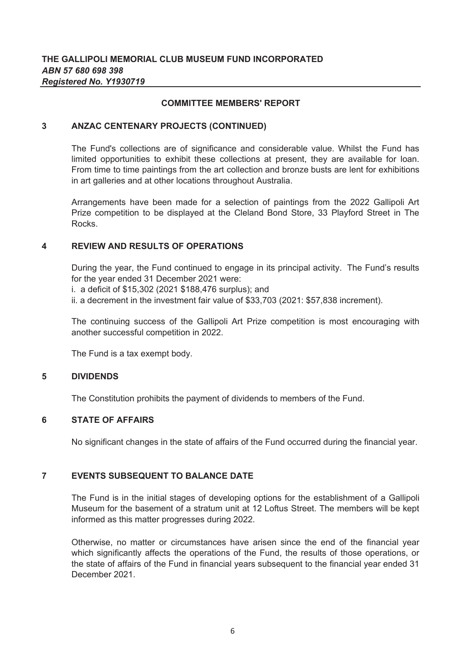### **COMMITTEE MEMBERS' REPORT**

#### **3 ANZAC CENTENARY PROJECTS (CONTINUED)**

The Fund's collections are of significance and considerable value. Whilst the Fund has limited opportunities to exhibit these collections at present, they are available for loan. From time to time paintings from the art collection and bronze busts are lent for exhibitions in art galleries and at other locations throughout Australia.

Arrangements have been made for a selection of paintings from the 2022 Gallipoli Art Prize competition to be displayed at the Cleland Bond Store, 33 Playford Street in The Rocks.

#### **4 REVIEW AND RESULTS OF OPERATIONS**

During the year, the Fund continued to engage in its principal activity. The Fund's results for the year ended 31 December 2021 were:

i. a deficit of \$15,302 (2021 \$188,476 surplus); and

ii. a decrement in the investment fair value of \$33,703 (2021: \$57,838 increment).

The continuing success of the Gallipoli Art Prize competition is most encouraging with another successful competition in 2022.

The Fund is a tax exempt body.

#### **5 DIVIDENDS**

The Constitution prohibits the payment of dividends to members of the Fund.

### **6 STATE OF AFFAIRS**

No significant changes in the state of affairs of the Fund occurred during the financial year.

#### **7 EVENTS SUBSEQUENT TO BALANCE DATE**

The Fund is in the initial stages of developing options for the establishment of a Gallipoli Museum for the basement of a stratum unit at 12 Loftus Street. The members will be kept informed as this matter progresses during 2022.

Otherwise, no matter or circumstances have arisen since the end of the financial year which significantly affects the operations of the Fund, the results of those operations, or the state of affairs of the Fund in financial years subsequent to the financial year ended 31 December 2021.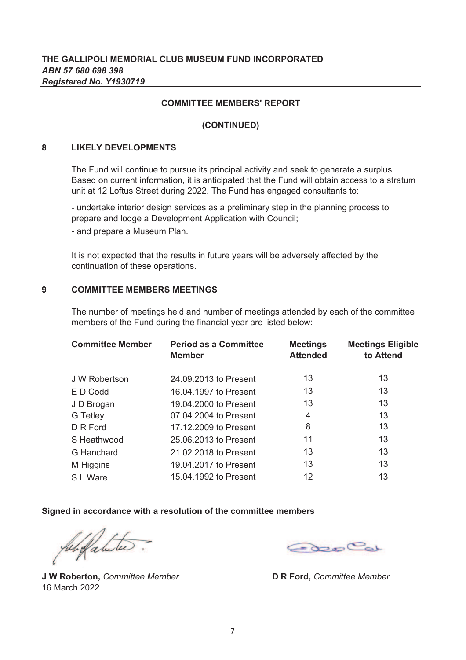### **COMMITTEE MEMBERS' REPORT**

### **(CONTINUED)**

#### **8 LIKELY DEVELOPMENTS**

The Fund will continue to pursue its principal activity and seek to generate a surplus. Based on current information, it is anticipated that the Fund will obtain access to a stratum unit at 12 Loftus Street during 2022. The Fund has engaged consultants to:

- undertake interior design services as a preliminary step in the planning process to prepare and lodge a Development Application with Council;

- and prepare a Museum Plan.

It is not expected that the results in future years will be adversely affected by the continuation of these operations.

#### **9 COMMITTEE MEMBERS MEETINGS**

The number of meetings held and number of meetings attended by each of the committee members of the Fund during the financial year are listed below:

| <b>Committee Member</b> | <b>Period as a Committee</b><br><b>Member</b> | <b>Meetings</b><br><b>Attended</b> | <b>Meetings Eligible</b><br>to Attend |
|-------------------------|-----------------------------------------------|------------------------------------|---------------------------------------|
| J W Robertson           | 24.09.2013 to Present                         | 13                                 | 13                                    |
| E D Codd                | 16.04.1997 to Present                         | 13                                 | 13                                    |
| J D Brogan              | 19.04.2000 to Present                         | 13                                 | 13                                    |
| G Tetley                | 07.04.2004 to Present                         | 4                                  | 13                                    |
| D R Ford                | 17.12.2009 to Present                         | 8                                  | 13                                    |
| S Heathwood             | 25.06.2013 to Present                         | 11                                 | 13                                    |
| G Hanchard              | 21.02.2018 to Present                         | 13                                 | 13                                    |
| M Higgins               | 19.04.2017 to Present                         | 13                                 | 13                                    |
| S L Ware                | 15.04.1992 to Present                         | 12                                 | 13                                    |

### **Signed in accordance with a resolution of the committee members**

for fatules

**J W Roberton,** *Committee Member* 16 March 2022

**RooCol** 

**D R Ford,** *Committee Member*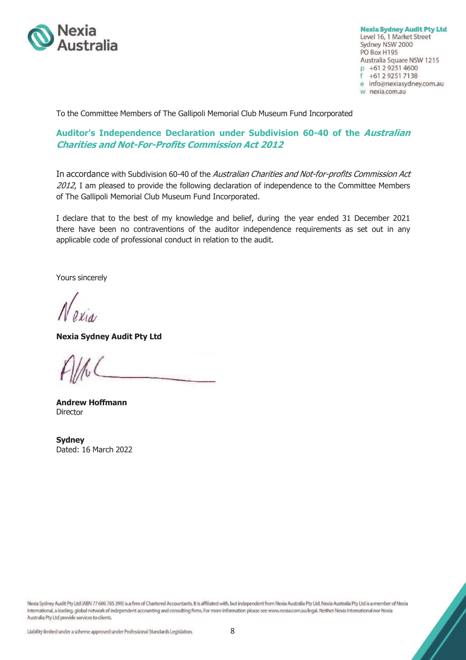

**Nexia Sydney Audit Pty Ltd** Level 16, 1 Market Street Sydney NSW 2000 PO Box H195 Australia Square NSW 1215 p +61 2 9251 4600 +61 2 9251 7138 e info@nexiasydney.com.au w nexia.com.au

To the Committee Members of The Gallipoli Memorial Club Museum Fund Incorporated

# **Auditor's Independence Declaration under Subdivision 60-40 of the Australian Charities and Not-For-Profits Commission Act 2012**

In accordance with Subdivision 60-40 of the Australian Charities and Not-for-profits Commission Act 2012, I am pleased to provide the following declaration of independence to the Committee Members of The Gallipoli Memorial Club Museum Fund Incorporated.

I declare that to the best of my knowledge and belief, during the year ended 31 December 2021 there have been no contraventions of the auditor independence requirements as set out in any applicable code of professional conduct in relation to the audit.

Yours sincerely

**Nexia Sydney Audit Pty Ltd** 

**Andrew Hoffmann Director** 

**Sydney**  Dated: 16 March 2022

Nexia Sydney Audit Pty Ltd (ABN 77 606 785 399) is a firm of Chartered Accountants. It is affiliated with, but independent from Nexia Australia Pty Ltd. Nexia Australia Pty Ltd is a member of Nexia International, a leading, global network of independent accounting and consulting firms. For more information please see www.nexia.com.au/legal. Neither Nexia International nor Nexia Australia Pty Ltd provide services to clients.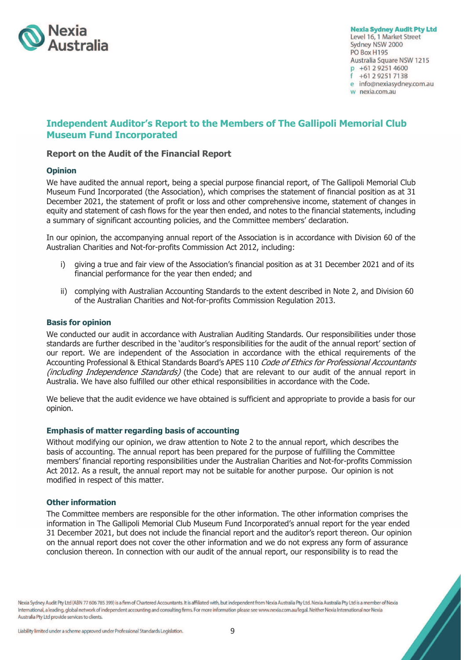

**Nexia Sydney Audit Pty Ltd** Level 16, 1 Market Street

Sydney NSW 2000 PO Box H195 Australia Square NSW 1215 p +61 2 9251 4600 +61 2 9251 7138 e info@nexiasydney.com.au w nexia.com.au

# **Independent Auditor's Report to the Members of The Gallipoli Memorial Club Museum Fund Incorporated**

### **Report on the Audit of the Financial Report**

#### **Opinion**

We have audited the annual report, being a special purpose financial report, of The Gallipoli Memorial Club Museum Fund Incorporated (the Association), which comprises the statement of financial position as at 31 December 2021, the statement of profit or loss and other comprehensive income, statement of changes in equity and statement of cash flows for the year then ended, and notes to the financial statements, including a summary of significant accounting policies, and the Committee members' declaration.

In our opinion, the accompanying annual report of the Association is in accordance with Division 60 of the Australian Charities and Not-for-profits Commission Act 2012, including:

- i) giving a true and fair view of the Association's financial position as at 31 December 2021 and of its financial performance for the year then ended; and
- ii) complying with Australian Accounting Standards to the extent described in Note 2, and Division 60 of the Australian Charities and Not-for-profits Commission Regulation 2013.

#### **Basis for opinion**

We conducted our audit in accordance with Australian Auditing Standards. Our responsibilities under those standards are further described in the 'auditor's responsibilities for the audit of the annual report' section of our report. We are independent of the Association in accordance with the ethical requirements of the Accounting Professional & Ethical Standards Board's APES 110 Code of Ethics for Professional Accountants (including Independence Standards) (the Code) that are relevant to our audit of the annual report in Australia. We have also fulfilled our other ethical responsibilities in accordance with the Code.

We believe that the audit evidence we have obtained is sufficient and appropriate to provide a basis for our opinion.

#### **Emphasis of matter regarding basis of accounting**

Without modifying our opinion, we draw attention to Note 2 to the annual report, which describes the basis of accounting. The annual report has been prepared for the purpose of fulfilling the Committee members' financial reporting responsibilities under the Australian Charities and Not-for-profits Commission Act 2012. As a result, the annual report may not be suitable for another purpose. Our opinion is not modified in respect of this matter.

#### **Other information**

The Committee members are responsible for the other information. The other information comprises the information in The Gallipoli Memorial Club Museum Fund Incorporated's annual report for the year ended 31 December 2021, but does not include the financial report and the auditor's report thereon. Our opinion on the annual report does not cover the other information and we do not express any form of assurance conclusion thereon. In connection with our audit of the annual report, our responsibility is to read the

Nexia Sydney Audit Pty Ltd (ABN 77 606 785 399) is a firm of Chartered Accountants. It is affiliated with, but independent from Nexia Australia Pty Ltd. Nexia Australia Pty Ltd is a member of Nexia International, a leading, global network of independent accounting and consulting firms. For more information please see www.nexia.com.au/legal. Neither Nexia International nor Nexia Australia Pty Ltd provide services to clients.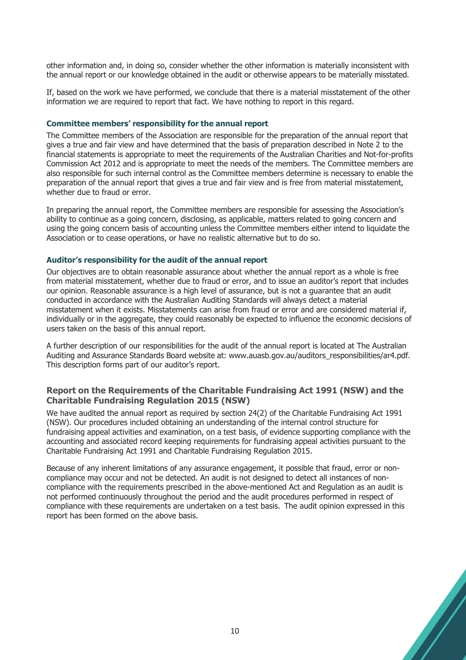other information and, in doing so, consider whether the other information is materially inconsistent with the annual report or our knowledge obtained in the audit or otherwise appears to be materially misstated.

If, based on the work we have performed, we conclude that there is a material misstatement of the other information we are required to report that fact. We have nothing to report in this regard.

#### **Committee members' responsibility for the annual report**

The Committee members of the Association are responsible for the preparation of the annual report that gives a true and fair view and have determined that the basis of preparation described in Note 2 to the financial statements is appropriate to meet the requirements of the Australian Charities and Not-for-profits Commission Act 2012 and is appropriate to meet the needs of the members. The Committee members are also responsible for such internal control as the Committee members determine is necessary to enable the preparation of the annual report that gives a true and fair view and is free from material misstatement, whether due to fraud or error.

In preparing the annual report, the Committee members are responsible for assessing the Association's ability to continue as a going concern, disclosing, as applicable, matters related to going concern and using the going concern basis of accounting unless the Committee members either intend to liquidate the Association or to cease operations, or have no realistic alternative but to do so.

#### **Auditor's responsibility for the audit of the annual report**

Our objectives are to obtain reasonable assurance about whether the annual report as a whole is free from material misstatement, whether due to fraud or error, and to issue an auditor's report that includes our opinion. Reasonable assurance is a high level of assurance, but is not a guarantee that an audit conducted in accordance with the Australian Auditing Standards will always detect a material misstatement when it exists. Misstatements can arise from fraud or error and are considered material if, individually or in the aggregate, they could reasonably be expected to influence the economic decisions of users taken on the basis of this annual report.

A further description of our responsibilities for the audit of the annual report is located at The Australian Auditing and Assurance Standards Board website at: www.auasb.gov.au/auditors\_responsibilities/ar4.pdf. This description forms part of our auditor's report.

### **Report on the Requirements of the Charitable Fundraising Act 1991 (NSW) and the Charitable Fundraising Regulation 2015 (NSW)**

We have audited the annual report as required by section 24(2) of the Charitable Fundraising Act 1991 (NSW). Our procedures included obtaining an understanding of the internal control structure for fundraising appeal activities and examination, on a test basis, of evidence supporting compliance with the accounting and associated record keeping requirements for fundraising appeal activities pursuant to the Charitable Fundraising Act 1991 and Charitable Fundraising Regulation 2015.

Because of any inherent limitations of any assurance engagement, it possible that fraud, error or noncompliance may occur and not be detected. An audit is not designed to detect all instances of noncompliance with the requirements prescribed in the above-mentioned Act and Regulation as an audit is not performed continuously throughout the period and the audit procedures performed in respect of compliance with these requirements are undertaken on a test basis. The audit opinion expressed in this report has been formed on the above basis.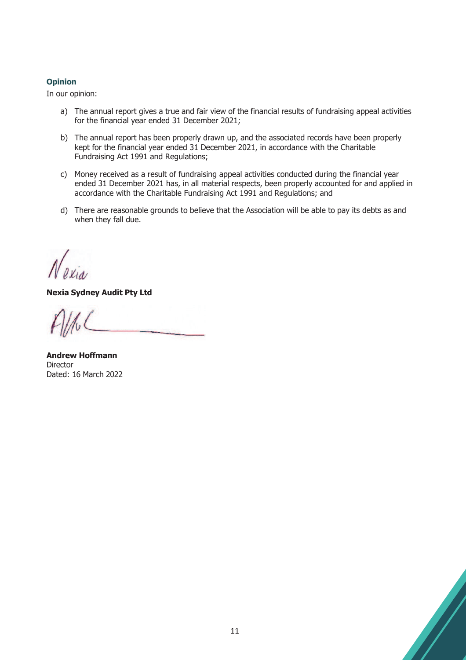### **Opinion**

In our opinion:

- a) The annual report gives a true and fair view of the financial results of fundraising appeal activities for the financial year ended 31 December 2021;
- b) The annual report has been properly drawn up, and the associated records have been properly kept for the financial year ended 31 December 2021, in accordance with the Charitable Fundraising Act 1991 and Regulations;
- c) Money received as a result of fundraising appeal activities conducted during the financial year ended 31 December 2021 has, in all material respects, been properly accounted for and applied in accordance with the Charitable Fundraising Act 1991 and Regulations; and
- d) There are reasonable grounds to believe that the Association will be able to pay its debts as and when they fall due.

**Nexia Sydney Audit Pty Ltd** 

**Andrew Hoffmann Director** Dated: 16 March 2022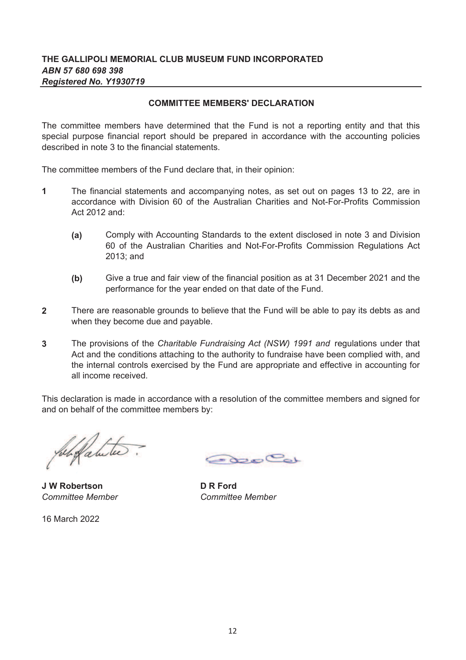# **COMMITTEE MEMBERS' DECLARATION**

The committee members have determined that the Fund is not a reporting entity and that this special purpose financial report should be prepared in accordance with the accounting policies described in note 3 to the financial statements.

The committee members of the Fund declare that, in their opinion:

- **1** The financial statements and accompanying notes, as set out on pages 13 to 22, are in accordance with Division 60 of the Australian Charities and Not-For-Profits Commission Act 2012 and:
	- **(a)** Comply with Accounting Standards to the extent disclosed in note 3 and Division 60 of the Australian Charities and Not-For-Profits Commission Regulations Act 2013; and
	- **(b)** Give a true and fair view of the financial position as at 31 December 2021 and the performance for the year ended on that date of the Fund.
- **2** There are reasonable grounds to believe that the Fund will be able to pay its debts as and when they become due and payable.
- **3** The provisions of the *Charitable Fundraising Act (NSW) 1991 and* regulations under that Act and the conditions attaching to the authority to fundraise have been complied with, and the internal controls exercised by the Fund are appropriate and effective in accounting for all income received.

This declaration is made in accordance with a resolution of the committee members and signed for and on behalf of the committee members by:

**J W Robertson D R Ford** *Committee Member Committee Member*

16 March 2022

Good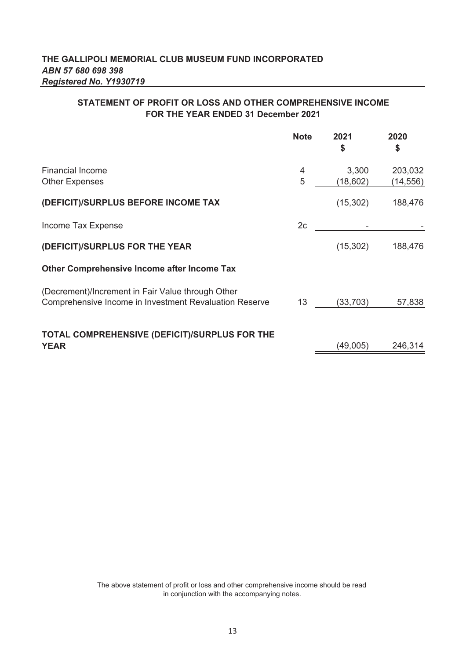# **STATEMENT OF PROFIT OR LOSS AND OTHER COMPREHENSIVE INCOME FOR THE YEAR ENDED 31 December 2021**

|                                                                                                             | <b>Note</b>    | 2021<br>\$ | 2020<br>\$ |
|-------------------------------------------------------------------------------------------------------------|----------------|------------|------------|
| <b>Financial Income</b>                                                                                     | 4<br>5         | 3,300      | 203,032    |
| <b>Other Expenses</b>                                                                                       |                | (18, 602)  | (14,556)   |
| (DEFICIT)/SURPLUS BEFORE INCOME TAX                                                                         |                | (15, 302)  | 188,476    |
| Income Tax Expense                                                                                          | 2 <sub>c</sub> |            |            |
| (DEFICIT)/SURPLUS FOR THE YEAR                                                                              |                | (15, 302)  | 188,476    |
| <b>Other Comprehensive Income after Income Tax</b>                                                          |                |            |            |
| (Decrement)/Increment in Fair Value through Other<br>Comprehensive Income in Investment Revaluation Reserve | 13             | (33, 703)  | 57,838     |
| TOTAL COMPREHENSIVE (DEFICIT)/SURPLUS FOR THE<br><b>YEAR</b>                                                |                | (49,005)   | 246,314    |

The above statement of profit or loss and other comprehensive income should be read in conjunction with the accompanying notes.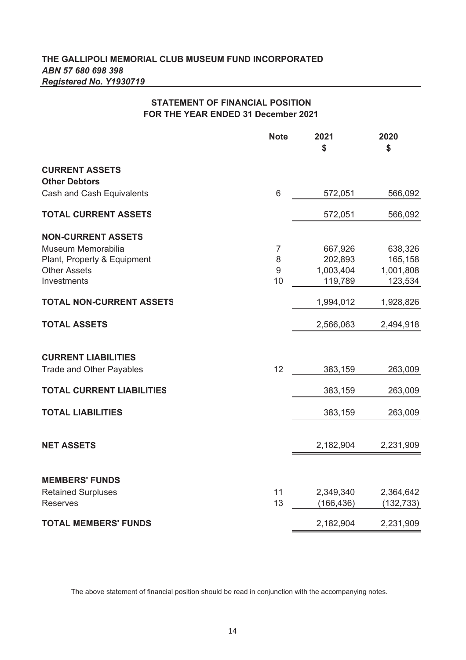# **STATEMENT OF FINANCIAL POSITION FOR THE YEAR ENDED 31 December 2021**

|                                               | <b>Note</b>      | 2021<br>\$              | 2020<br>\$              |
|-----------------------------------------------|------------------|-------------------------|-------------------------|
| <b>CURRENT ASSETS</b><br><b>Other Debtors</b> |                  |                         |                         |
| Cash and Cash Equivalents                     | $6\phantom{1}6$  | 572,051                 | 566,092                 |
| <b>TOTAL CURRENT ASSETS</b>                   |                  | 572,051                 | 566,092                 |
| <b>NON-CURRENT ASSETS</b>                     |                  |                         |                         |
| Museum Memorabilia                            | 7                | 667,926                 | 638,326                 |
| Plant, Property & Equipment                   | 8                | 202,893                 | 165,158                 |
| <b>Other Assets</b>                           | $\boldsymbol{9}$ | 1,003,404               | 1,001,808               |
| Investments                                   | 10               | 119,789                 | 123,534                 |
| <b>TOTAL NON-CURRENT ASSETS</b>               |                  | 1,994,012               | 1,928,826               |
| <b>TOTAL ASSETS</b>                           |                  | 2,566,063               | 2,494,918               |
| <b>CURRENT LIABILITIES</b>                    |                  |                         |                         |
| <b>Trade and Other Payables</b>               | 12               | 383,159                 | 263,009                 |
| <b>TOTAL CURRENT LIABILITIES</b>              |                  | 383,159                 | 263,009                 |
| <b>TOTAL LIABILITIES</b>                      |                  | 383,159                 | 263,009                 |
|                                               |                  |                         |                         |
| <b>NET ASSETS</b>                             |                  | 2,182,904               | 2,231,909               |
|                                               |                  |                         |                         |
| <b>MEMBERS' FUNDS</b>                         |                  |                         |                         |
| <b>Retained Surpluses</b><br><b>Reserves</b>  | 11<br>13         | 2,349,340<br>(166, 436) | 2,364,642<br>(132, 733) |
|                                               |                  |                         |                         |
| <b>TOTAL MEMBERS' FUNDS</b>                   |                  | 2,182,904               | 2,231,909               |

The above statement of financial position should be read in conjunction with the accompanying notes.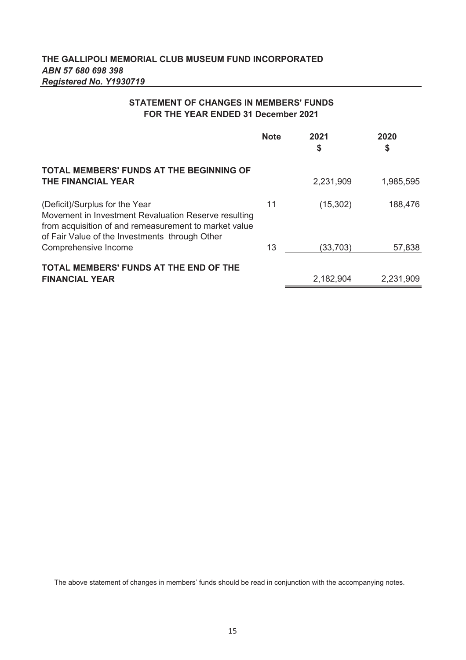# **STATEMENT OF CHANGES IN MEMBERS' FUNDS FOR THE YEAR ENDED 31 December 2021**

|                                                                                                                                                                                                   | <b>Note</b> | 2021<br>\$ | 2020<br>\$ |
|---------------------------------------------------------------------------------------------------------------------------------------------------------------------------------------------------|-------------|------------|------------|
| <b>TOTAL MEMBERS' FUNDS AT THE BEGINNING OF</b><br>THE FINANCIAL YEAR                                                                                                                             |             | 2,231,909  | 1,985,595  |
| (Deficit)/Surplus for the Year<br>Movement in Investment Revaluation Reserve resulting<br>from acquisition of and remeasurement to market value<br>of Fair Value of the Investments through Other | 11          | (15, 302)  | 188,476    |
| Comprehensive Income                                                                                                                                                                              | 13          | (33, 703)  | 57,838     |
| <b>TOTAL MEMBERS' FUNDS AT THE END OF THE</b><br><b>FINANCIAL YEAR</b>                                                                                                                            |             | 2,182,904  | 2,231,909  |

The above statement of changes in members' funds should be read in conjunction with the accompanying notes.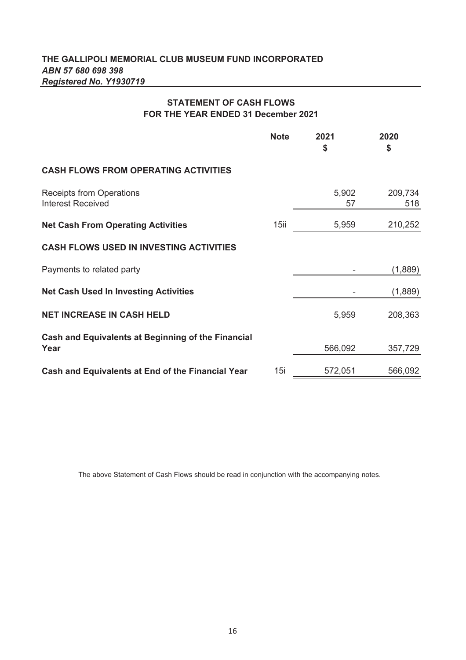# **STATEMENT OF CASH FLOWS FOR THE YEAR ENDED 31 December 2021**

|                                                             | <b>Note</b> | 2021<br>\$  | 2020<br>\$     |
|-------------------------------------------------------------|-------------|-------------|----------------|
| <b>CASH FLOWS FROM OPERATING ACTIVITIES</b>                 |             |             |                |
| <b>Receipts from Operations</b><br><b>Interest Received</b> |             | 5,902<br>57 | 209,734<br>518 |
| <b>Net Cash From Operating Activities</b>                   | 15ii        | 5,959       | 210,252        |
| <b>CASH FLOWS USED IN INVESTING ACTIVITIES</b>              |             |             |                |
| Payments to related party                                   |             |             | (1,889)        |
| <b>Net Cash Used In Investing Activities</b>                |             |             | (1,889)        |
| <b>NET INCREASE IN CASH HELD</b>                            |             | 5,959       | 208,363        |
| Cash and Equivalents at Beginning of the Financial<br>Year  |             | 566,092     | 357,729        |
| Cash and Equivalents at End of the Financial Year           | 15i         | 572,051     | 566,092        |

The above Statement of Cash Flows should be read in conjunction with the accompanying notes.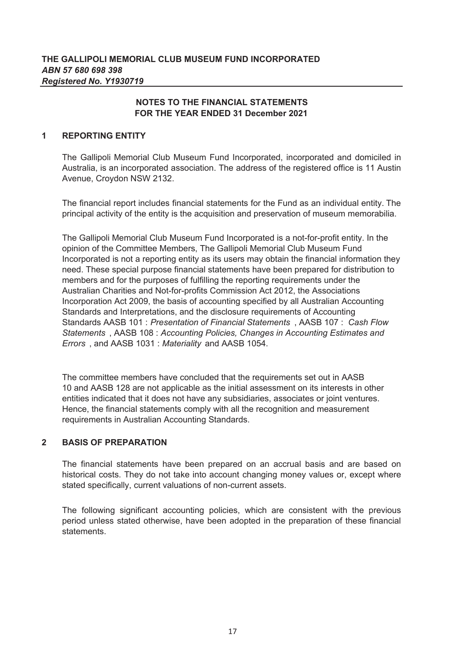#### **1 REPORTING ENTITY**

The Gallipoli Memorial Club Museum Fund Incorporated, incorporated and domiciled in Australia, is an incorporated association. The address of the registered office is 11 Austin Avenue, Croydon NSW 2132.

The financial report includes financial statements for the Fund as an individual entity. The principal activity of the entity is the acquisition and preservation of museum memorabilia.

The Gallipoli Memorial Club Museum Fund Incorporated is a not-for-profit entity. In the opinion of the Committee Members, The Gallipoli Memorial Club Museum Fund Incorporated is not a reporting entity as its users may obtain the financial information they need. These special purpose financial statements have been prepared for distribution to members and for the purposes of fulfilling the reporting requirements under the Australian Charities and Not-for-profits Commission Act 2012, the Associations Incorporation Act 2009, the basis of accounting specified by all Australian Accounting Standards and Interpretations, and the disclosure requirements of Accounting Standards AASB 101 : *Presentation of Financial Statements* , AASB 107 : *Cash Flow Statements* , AASB 108 : *Accounting Policies, Changes in Accounting Estimates and Errors* , and AASB 1031 : *Materiality* and AASB 1054.

The committee members have concluded that the requirements set out in AASB 10 and AASB 128 are not applicable as the initial assessment on its interests in other entities indicated that it does not have any subsidiaries, associates or joint ventures. Hence, the financial statements comply with all the recognition and measurement requirements in Australian Accounting Standards.

#### **2 BASIS OF PREPARATION**

The financial statements have been prepared on an accrual basis and are based on historical costs. They do not take into account changing money values or, except where stated specifically, current valuations of non-current assets.

The following significant accounting policies, which are consistent with the previous period unless stated otherwise, have been adopted in the preparation of these financial statements.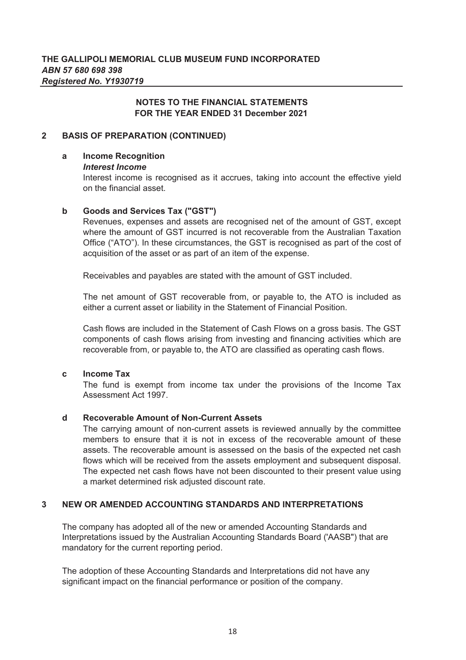#### **2 BASIS OF PREPARATION (CONTINUED)**

#### **a Income Recognition**

### *Interest Income*

Interest income is recognised as it accrues, taking into account the effective yield on the financial asset.

#### **b Goods and Services Tax ("GST")**

Revenues, expenses and assets are recognised net of the amount of GST, except where the amount of GST incurred is not recoverable from the Australian Taxation Office ("ATO"). In these circumstances, the GST is recognised as part of the cost of acquisition of the asset or as part of an item of the expense.

Receivables and payables are stated with the amount of GST included.

The net amount of GST recoverable from, or payable to, the ATO is included as either a current asset or liability in the Statement of Financial Position.

Cash flows are included in the Statement of Cash Flows on a gross basis. The GST components of cash flows arising from investing and financing activities which are recoverable from, or payable to, the ATO are classified as operating cash flows.

#### **c Income Tax**

The fund is exempt from income tax under the provisions of the Income Tax Assessment Act 1997.

#### **d Recoverable Amount of Non-Current Assets**

The carrying amount of non-current assets is reviewed annually by the committee members to ensure that it is not in excess of the recoverable amount of these assets. The recoverable amount is assessed on the basis of the expected net cash flows which will be received from the assets employment and subsequent disposal. The expected net cash flows have not been discounted to their present value using a market determined risk adjusted discount rate.

#### **3 NEW OR AMENDED ACCOUNTING STANDARDS AND INTERPRETATIONS**

The company has adopted all of the new or amended Accounting Standards and Interpretations issued by the Australian Accounting Standards Board ('AASB") that are mandatory for the current reporting period.

The adoption of these Accounting Standards and Interpretations did not have any significant impact on the financial performance or position of the company.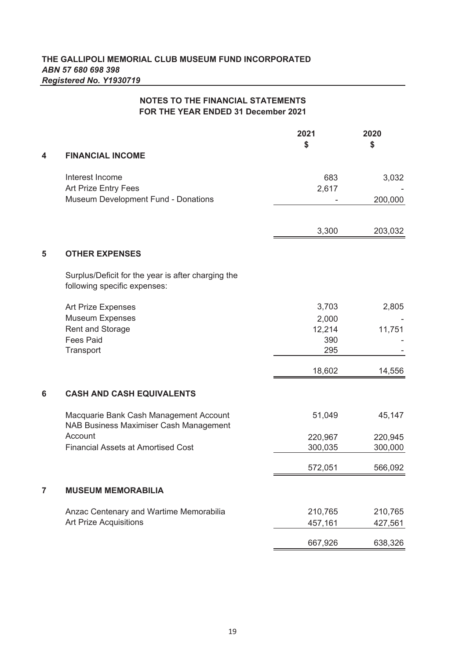|   | <b>NOTES TO THE FINANCIAL STATEMENTS</b><br>FOR THE YEAR ENDED 31 December 2021                   |                                        |                    |
|---|---------------------------------------------------------------------------------------------------|----------------------------------------|--------------------|
| 4 | <b>FINANCIAL INCOME</b>                                                                           | 2021<br>\$                             | 2020<br>\$         |
|   | Interest Income<br>Art Prize Entry Fees<br>Museum Development Fund - Donations                    | 683<br>2,617                           | 3,032<br>200,000   |
|   |                                                                                                   | 3,300                                  | 203,032            |
| 5 | <b>OTHER EXPENSES</b>                                                                             |                                        |                    |
|   | Surplus/Deficit for the year is after charging the<br>following specific expenses:                |                                        |                    |
|   | Art Prize Expenses<br><b>Museum Expenses</b><br>Rent and Storage<br><b>Fees Paid</b><br>Transport | 3,703<br>2,000<br>12,214<br>390<br>295 | 2,805<br>11,751    |
|   |                                                                                                   | 18,602                                 | 14,556             |
| 6 | <b>CASH AND CASH EQUIVALENTS</b>                                                                  |                                        |                    |
|   | Macquarie Bank Cash Management Account<br>NAB Business Maximiser Cash Management                  | 51,049                                 | 45,147             |
|   | Account<br><b>Financial Assets at Amortised Cost</b>                                              | 220,967<br>300,035                     | 220,945<br>300,000 |
|   |                                                                                                   | 572,051                                | 566,092            |
| 7 | <b>MUSEUM MEMORABILIA</b>                                                                         |                                        |                    |

Anzac Centenary and Wartime Memorabilia 210,765 210,765 Art Prize Acquisitions and the control of the 457,161 and 427,561 667,926 638,326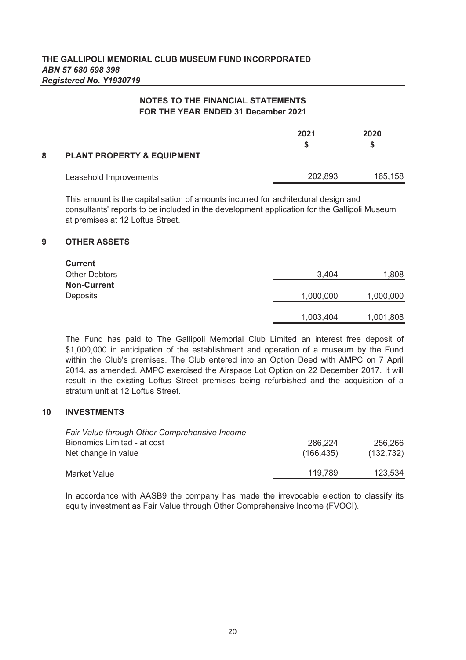| 8 | <b>PLANT PROPERTY &amp; EQUIPMENT</b> | 2021    | 2020    |
|---|---------------------------------------|---------|---------|
|   | Leasehold Improvements                | 202,893 | 165,158 |

This amount is the capitalisation of amounts incurred for architectural design and consultants' reports to be included in the development application for the Gallipoli Museum at premises at 12 Loftus Street.

### **9 OTHER ASSETS**

| <b>Current</b>       |           |           |
|----------------------|-----------|-----------|
| <b>Other Debtors</b> | 3,404     | 1,808     |
| <b>Non-Current</b>   |           |           |
| <b>Deposits</b>      | 1,000,000 | 1,000,000 |
|                      | 1,003,404 | 1,001,808 |

The Fund has paid to The Gallipoli Memorial Club Limited an interest free deposit of \$1,000,000 in anticipation of the establishment and operation of a museum by the Fund within the Club's premises. The Club entered into an Option Deed with AMPC on 7 April 2014, as amended. AMPC exercised the Airspace Lot Option on 22 December 2017. It will result in the existing Loftus Street premises being refurbished and the acquisition of a stratum unit at 12 Loftus Street.

#### **10 INVESTMENTS**

| Fair Value through Other Comprehensive Income |           |            |
|-----------------------------------------------|-----------|------------|
| Bionomics Limited - at cost                   | 286,224   | 256.266    |
| Net change in value                           | (166,435) | (132, 732) |
|                                               |           |            |
| Market Value                                  | 119.789   | 123,534    |

In accordance with AASB9 the company has made the irrevocable election to classify its equity investment as Fair Value through Other Comprehensive Income (FVOCI).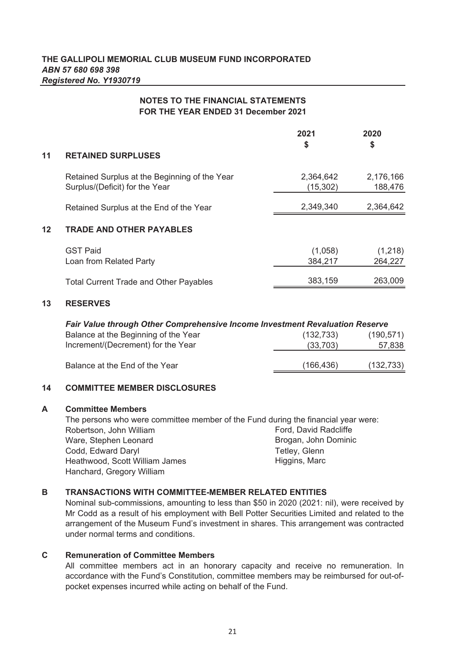|         |                                                                                 | 2021<br>\$            | 2020<br>\$           |
|---------|---------------------------------------------------------------------------------|-----------------------|----------------------|
| 11      | <b>RETAINED SURPLUSES</b>                                                       |                       |                      |
|         | Retained Surplus at the Beginning of the Year<br>Surplus/(Deficit) for the Year | 2,364,642<br>(15,302) | 2,176,166<br>188,476 |
|         | Retained Surplus at the End of the Year                                         | 2,349,340             | 2,364,642            |
| $12 \,$ | <b>TRADE AND OTHER PAYABLES</b>                                                 |                       |                      |
|         | <b>GST Paid</b><br>Loan from Related Party                                      | (1,058)<br>384,217    | (1,218)<br>264,227   |
|         | <b>Total Current Trade and Other Payables</b>                                   | 383,159               | 263,009              |
|         |                                                                                 |                       |                      |

### **13 RESERVES**

| Fair Value through Other Comprehensive Income Investment Revaluation Reserve |            |            |  |
|------------------------------------------------------------------------------|------------|------------|--|
| Balance at the Beginning of the Year                                         | (132, 733) | (190, 571) |  |
| Increment/(Decrement) for the Year                                           | (33,703)   | 57,838     |  |
| Balance at the End of the Year                                               | (166, 436) | (132, 733) |  |

### **14 COMMITTEE MEMBER DISCLOSURES**

#### **A Committee Members**

Robertson, John William Ware, Stephen Leonard Codd, Edward Daryl Heathwood, Scott William James Hanchard, Gregory William Higgins, Marc Tetley, Glenn The persons who were committee member of the Fund during the financial year were: Ford, David Radcliffe Brogan, John Dominic

#### **B TRANSACTIONS WITH COMMITTEE-MEMBER RELATED ENTITIES**

Nominal sub-commissions, amounting to less than \$50 in 2020 (2021: nil), were received by Mr Codd as a result of his employment with Bell Potter Securities Limited and related to the arrangement of the Museum Fund's investment in shares. This arrangement was contracted under normal terms and conditions.

#### **C Remuneration of Committee Members**

All committee members act in an honorary capacity and receive no remuneration. In accordance with the Fund's Constitution, committee members may be reimbursed for out-ofpocket expenses incurred while acting on behalf of the Fund.